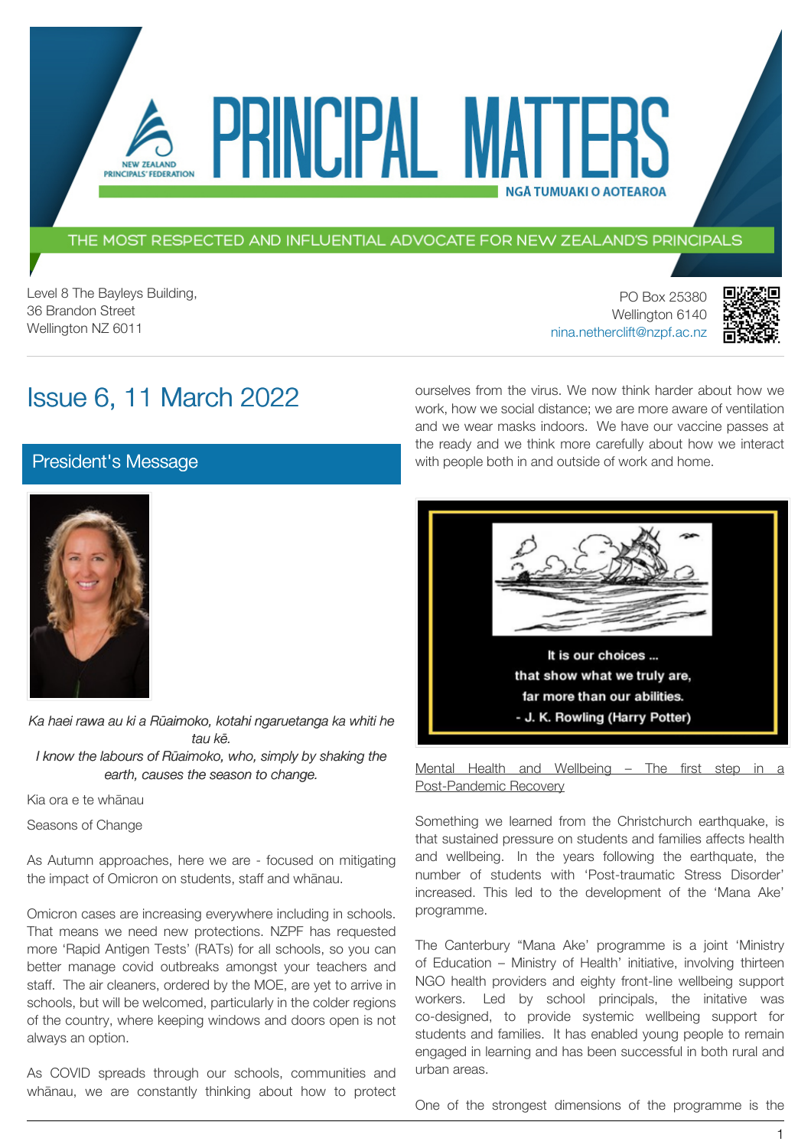### THE MOST RESPECTED AND INFLUENTIAL ADVOCATE FOR NEW ZEALAND'S PRINCIPALS

PRINCIPAL MATT

Level 8 The Bayleys Building, 36 Brandon Street Wellington NZ 6011

PO Box 25380 Wellington 6140 [nina.netherclift@nzpf.ac.nz](mailto:mailto:nina.netherclift@nzpf.ac.nz)

ourselves from the virus. We now think harder about how we work, how we social distance; we are more aware of ventilation and we wear masks indoors. We have our vaccine passes at the ready and we think more carefully about how we interact

**NGÅ TUMUAKI O AOTEAROA** 

with people both in and outside of work and home.



# Issue 6, 11 March 2022

NEW ZEALAND PRINCIPALS' FEDERATION

[President's Message](https://nzpf.schoolzineplus.com/newsletter/article/499?skin=1)



*Ka haei rawa au ki a Rūaimoko, kotahi ngaruetanga ka whiti he tau kē. I know the labours of Rūaimoko, who, simply by shaking the earth, causes the season to change.*

Kia ora e te whānau

Seasons of Change

As Autumn approaches, here we are - focused on mitigating the impact of Omicron on students, staff and whānau.

Omicron cases are increasing everywhere including in schools. That means we need new protections. NZPF has requested more 'Rapid Antigen Tests' (RATs) for all schools, so you can better manage covid outbreaks amongst your teachers and staff. The air cleaners, ordered by the MOE, are yet to arrive in schools, but will be welcomed, particularly in the colder regions of the country, where keeping windows and doors open is not always an option.

As COVID spreads through our schools, communities and whānau, we are constantly thinking about how to protect



Mental Health and Wellbeing - The first step in a Post-Pandemic Recovery

Something we learned from the Christchurch earthquake, is that sustained pressure on students and families affects health and wellbeing. In the years following the earthquate, the number of students with 'Post-traumatic Stress Disorder' increased. This led to the development of the 'Mana Ake' programme.

The Canterbury "Mana Ake' programme is a joint 'Ministry of Education – Ministry of Health' initiative, involving thirteen NGO health providers and eighty front-line wellbeing support workers. Led by school principals, the initative was co-designed, to provide systemic wellbeing support for students and families. It has enabled young people to remain engaged in learning and has been successful in both rural and urban areas.

One of the strongest dimensions of the programme is the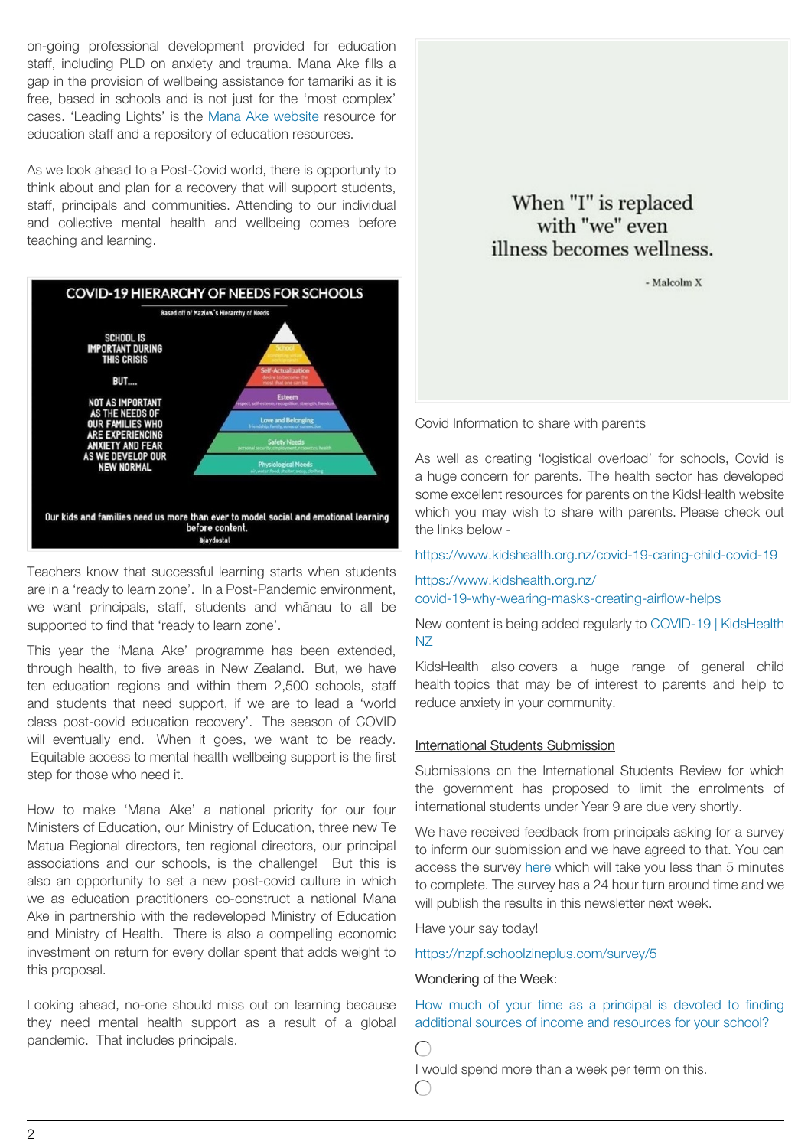on-going professional development provided for education staff, including PLD on anxiety and trauma. Mana Ake fills a gap in the provision of wellbeing assistance for tamariki as it is free, based in schools and is not just for the 'most complex' cases. 'Leading Lights' is the Mana Ake [website](https://manaake.health.nz/) resource for education staff and a repository of education resources.

As we look ahead to a Post-Covid world, there is opportunty to think about and plan for a recovery that will support students, staff, principals and communities. Attending to our individual and collective mental health and wellbeing comes before teaching and learning.



Teachers know that successful learning starts when students are in a 'ready to learn zone'. In a Post-Pandemic environment, we want principals, staff, students and whānau to all be supported to find that 'ready to learn zone'.

This year the 'Mana Ake' programme has been extended, through health, to five areas in New Zealand. But, we have ten education regions and within them 2,500 schools, staff and students that need support, if we are to lead a 'world class post-covid education recovery'. The season of COVID will eventually end. When it goes, we want to be ready. Equitable access to mental health wellbeing support is the first step for those who need it.

How to make 'Mana Ake' a national priority for our four Ministers of Education, our Ministry of Education, three new Te Matua Regional directors, ten regional directors, our principal associations and our schools, is the challenge! But this is also an opportunity to set a new post-covid culture in which we as education practitioners co-construct a national Mana Ake in partnership with the redeveloped Ministry of Education and Ministry of Health. There is also a compelling economic investment on return for every dollar spent that adds weight to this proposal.

Looking ahead, no-one should miss out on learning because they need mental health support as a result of a global pandemic. That includes principals.

## When "I" is replaced with "we" even illness becomes wellness.

- Malcolm X

### Covid Information to share with parents

As well as creating 'logistical overload' for schools, Covid is a huge concern for parents. The health sector has developed some excellent resources for parents on the KidsHealth website which you may wish to share with parents. Please check out the links below -

<https://www.kidshealth.org.nz/covid-19-caring-child-covid-19>

[https://www.kidshealth.org.nz/](https://www.kidshealth.org.nz/covid-19-why-wearing-masks-creating-airflow-helps) [covid-19-why-wearing-masks-creating-airflow-helps](https://www.kidshealth.org.nz/covid-19-why-wearing-masks-creating-airflow-helps)

New content is being added regularly to COVID-19 | [KidsHealth](https://www.kidshealth.org.nz/tags/covid-19) [NZ](https://www.kidshealth.org.nz/tags/covid-19)

KidsHealth also covers a huge range of general child health topics that may be of interest to parents and help to reduce anxiety in your community.

### International Students Submission

Submissions on the International Students Review for which the government has proposed to limit the enrolments of international students under Year 9 are due very shortly.

We have received feedback from principals asking for a survey to inform our submission and we have agreed to that. You can access the survey [here](https://nzpf.schoolzineplus.com/survey/5) which will take you less than 5 minutes to complete. The survey has a 24 hour turn around time and we will publish the results in this newsletter next week.

Have your say today!

<https://nzpf.schoolzineplus.com/survey/5>

#### Wondering of the Week:

How much of your time as a principal is devoted to finding additional sources of income and resources for your school?

 $\bigcap$ 

 $\subset$ 

I would spend more than a week per term on this.

 $\mathfrak{O}$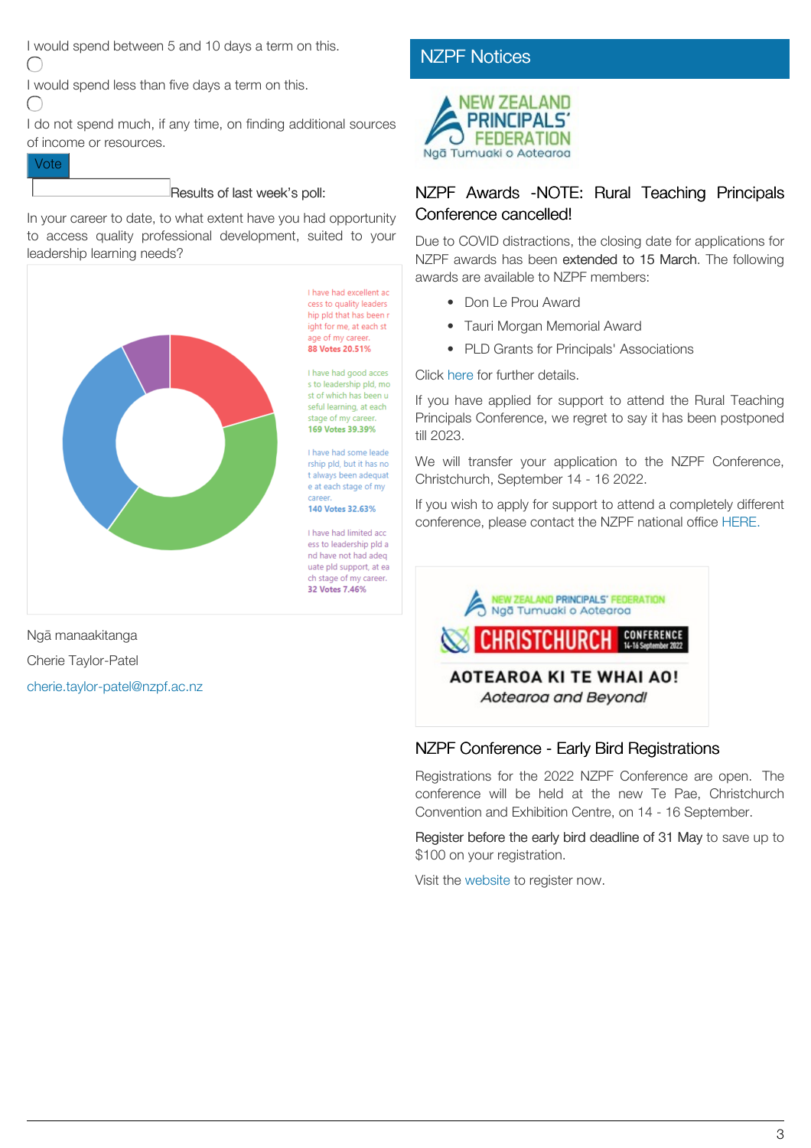I would spend between 5 and 10 days a term on this.  $\bigcap$ 

I would spend less than five days a term on this.

 $\subset$ 

I do not spend much, if any time, on finding additional sources of income or resources.

### Vote

### Results of last week's poll:

In your career to date, to what extent have you had opportunity to access quality professional development, suited to your leadership learning needs?



Ngā manaakitanga Cherie Taylor-Patel [cherie.taylor-patel@nzpf.ac.nz](mailto:cherie.taylor-patel@nzpf.ac.nz)

## **[NZPF Notices](https://nzpf.schoolzineplus.com/newsletter/article/500?skin=1)**



## NZPF Awards -NOTE: Rural Teaching Principals Conference cancelled!

Due to COVID distractions, the closing date for applications for NZPF awards has been extended to 15 March. The following awards are available to NZPF members:

- Don Le Prou Award
- Tauri Morgan Memorial Award
- PLD Grants for Principals' Associations

Click [here](http://www.nzpf.ac.nz/awards.html) for further details.

If you have applied for support to attend the Rural Teaching Principals Conference, we regret to say it has been postponed till 2023.

We will transfer your application to the NZPF Conference, Christchurch, September 14 - 16 2022.

If you wish to apply for support to attend a completely different conference, please contact the NZPF national office [HERE.](mailto:office@nzpf.ac.nz)



### NZPF Conference - Early Bird Registrations

Registrations for the 2022 NZPF Conference are open. The conference will be held at the new Te Pae, Christchurch Convention and Exhibition Centre, on 14 - 16 September.

Register before the early bird deadline of 31 May to save up to \$100 on your registration.

Visit the [website](http://www.nzpfconference.com/) to register now.